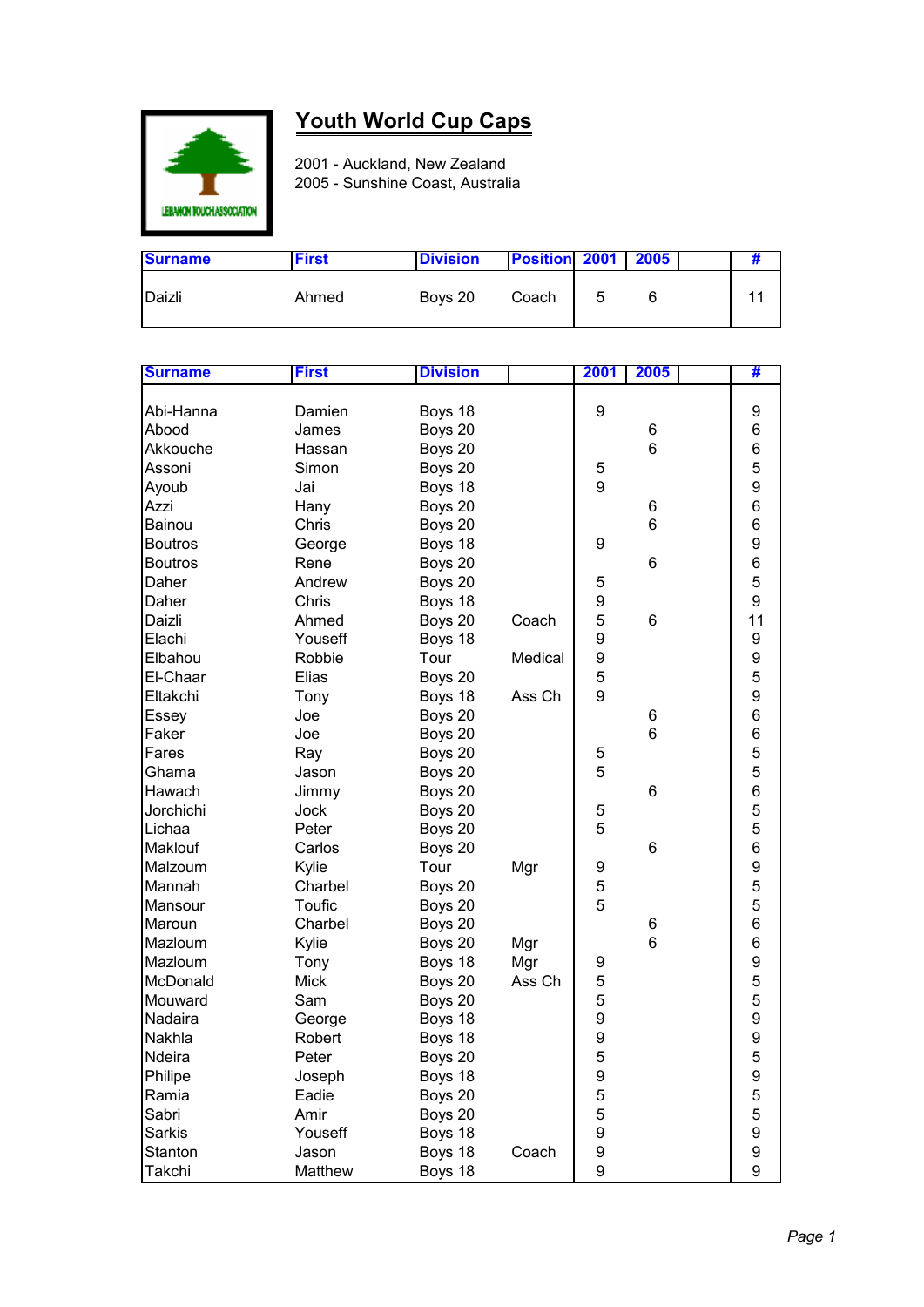

## **Youth World Cup Caps**

2001 - Auckland, New Zealand 2005 - Sunshine Coast, Australia

| <b>Surname</b> | <b>First</b> | <b>Division</b> | <b>Position 2001   2005</b> |   |  |  |
|----------------|--------------|-----------------|-----------------------------|---|--|--|
| Daizli         | Ahmed        | Boys 20         | Coach                       | 5 |  |  |

| 9<br>Damien<br>Boys 18<br>Abi-Hanna               | 9             |
|---------------------------------------------------|---------------|
| Abood<br>James<br>Boys 20<br>6                    | 6             |
| $\,6$<br>Akkouche<br>Boys 20<br>Hassan            | $\,6$         |
| Assoni<br>Simon<br>Boys 20<br>5                   | 5             |
| 9<br>Jai<br>Boys 18<br>Ayoub                      | 9             |
| Boys 20<br>Azzi<br>Hany<br>6                      | 6             |
| Chris<br>6<br>Boys 20<br>Bainou                   | 6             |
| <b>Boutros</b><br>Boys 18<br>9<br>George          | 9             |
| 6<br><b>Boutros</b><br>Rene<br>Boys 20            | 6             |
| Daher<br>Andrew<br>Boys 20<br>5                   | 5             |
| 9<br>Daher<br>Chris<br>Boys 18                    | 9             |
| 5<br>Daizli<br>Ahmed<br>Boys 20<br>Coach<br>6     | 11            |
| Boys 18<br>9<br>Elachi<br>Youseff                 | 9             |
| 9<br>Tour<br>Elbahou<br>Robbie<br>Medical         | 9             |
| 5<br>Elias<br>El-Chaar<br>Boys 20                 | 5             |
| 9<br>Eltakchi<br>Tony<br>Boys 18<br>Ass Ch        | 9             |
| Joe<br>Boys 20<br>6<br>Essey                      | 6             |
| Joe<br>6<br>Faker<br>Boys 20                      | 6             |
| 5<br>Fares<br>Ray<br>Boys 20                      | 5             |
| 5<br>Ghama<br>Boys 20<br>Jason                    | 5             |
| 6<br>Hawach<br>Boys 20<br>Jimmy                   | 6             |
| Jorchichi<br>5<br>Jock<br>Boys 20                 | 5             |
| 5<br>Lichaa<br>Peter<br>Boys 20                   | 5             |
| Boys 20<br>6<br>Maklouf<br>Carlos                 | 6             |
| Kylie<br>Tour<br>Mgr<br>Malzoum<br>9              | 9             |
| 5<br>Mannah<br>Charbel<br>Boys 20                 | 5             |
| 5<br>Toufic<br>Mansour<br>Boys 20                 | 5             |
| Charbel<br>Maroun<br>Boys 20<br>6                 | 6             |
| 6<br>Mazloum<br>Kylie<br>Boys 20<br>Mgr           | 6             |
| Mazloum<br>Boys 18<br>Mgr<br>Tony<br>9            | 9             |
| 5<br>McDonald<br><b>Mick</b><br>Boys 20<br>Ass Ch |               |
| 5<br>Mouward<br>Boys 20<br>Sam                    | $\frac{5}{5}$ |
| 9<br>Nadaira<br>Boys 18<br>George                 | 9             |
| 9<br>Nakhla<br>Robert<br>Boys 18                  | 9             |
| 5<br>Boys 20<br>Ndeira<br>Peter                   | 5             |
| Philipe<br>Joseph<br>Boys 18<br>9                 | 9             |
| 5<br>Ramia<br>Eadie<br>Boys 20                    | 5             |
| 5<br>Sabri<br>Amir<br>Boys 20                     | 5             |
| 9<br><b>Sarkis</b><br>Boys 18<br>Youseff          | 9             |
| 9<br>Boys 18<br>Jason<br>Coach<br>Stanton         | 9             |
| 9<br>Matthew<br>Boys 18<br>Takchi                 | 9             |